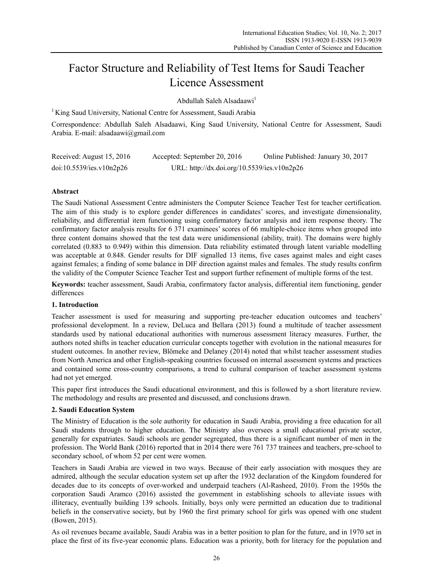# Factor Structure and Reliability of Test Items for Saudi Teacher Licence Assessment

Abdullah Saleh Alsadaawi<sup>1</sup>

<sup>1</sup> King Saud University, National Centre for Assessment, Saudi Arabia

Correspondence: Abdullah Saleh Alsadaawi, King Saud University, National Centre for Assessment, Saudi Arabia. E-mail: alsadaawi@gmail.com

| Received: August 15, 2016 | Accepted: September 20, 2016                | Online Published: January 30, 2017 |
|---------------------------|---------------------------------------------|------------------------------------|
| doi:10.5539/ies.v10n2p26  | URL: http://dx.doi.org/10.5539/ies.v10n2p26 |                                    |

# **Abstract**

The Saudi National Assessment Centre administers the Computer Science Teacher Test for teacher certification. The aim of this study is to explore gender differences in candidates' scores, and investigate dimensionality, reliability, and differential item functioning using confirmatory factor analysis and item response theory. The confirmatory factor analysis results for 6 371 examinees' scores of 66 multiple-choice items when grouped into three content domains showed that the test data were unidimensional (ability, trait). The domains were highly correlated (0.883 to 0.949) within this dimension. Data reliability estimated through latent variable modelling was acceptable at 0.848. Gender results for DIF signalled 13 items, five cases against males and eight cases against females; a finding of some balance in DIF direction against males and females. The study results confirm the validity of the Computer Science Teacher Test and support further refinement of multiple forms of the test.

**Keywords:** teacher assessment, Saudi Arabia, confirmatory factor analysis, differential item functioning, gender differences

#### **1. Introduction**

Teacher assessment is used for measuring and supporting pre-teacher education outcomes and teachers' professional development. In a review, DeLuca and Bellara (2013) found a multitude of teacher assessment standards used by national educational authorities with numerous assessment literacy measures. Further, the authors noted shifts in teacher education curricular concepts together with evolution in the national measures for student outcomes. In another review, Blömeke and Delaney (2014) noted that whilst teacher assessment studies from North America and other English-speaking countries focussed on internal assessment systems and practices and contained some cross-country comparisons, a trend to cultural comparison of teacher assessment systems had not yet emerged.

This paper first introduces the Saudi educational environment, and this is followed by a short literature review. The methodology and results are presented and discussed, and conclusions drawn.

### **2. Saudi Education System**

The Ministry of Education is the sole authority for education in Saudi Arabia, providing a free education for all Saudi students through to higher education. The Ministry also oversees a small educational private sector, generally for expatriates. Saudi schools are gender segregated, thus there is a significant number of men in the profession. The World Bank (2016) reported that in 2014 there were 761 737 trainees and teachers, pre-school to secondary school, of whom 52 per cent were women.

Teachers in Saudi Arabia are viewed in two ways. Because of their early association with mosques they are admired, although the secular education system set up after the 1932 declaration of the Kingdom foundered for decades due to its concepts of over-worked and underpaid teachers (Al-Rasheed, 2010). From the 1950s the corporation Saudi Aramco (2016) assisted the government in establishing schools to alleviate issues with illiteracy, eventually building 139 schools. Initially, boys only were permitted an education due to traditional beliefs in the conservative society, but by 1960 the first primary school for girls was opened with one student (Bowen, 2015).

As oil revenues became available, Saudi Arabia was in a better position to plan for the future, and in 1970 set in place the first of its five-year economic plans. Education was a priority, both for literacy for the population and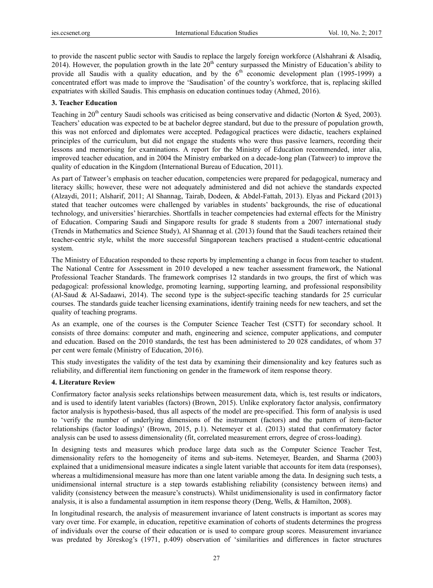to provide the nascent public sector with Saudis to replace the largely foreign workforce (Alshahrani & Alsadiq, 2014). However, the population growth in the late  $20<sup>th</sup>$  century surpassed the Ministry of Education's ability to provide all Saudis with a quality education, and by the  $6<sup>th</sup>$  economic development plan (1995-1999) a concentrated effort was made to improve the 'Saudisation' of the country's workforce, that is, replacing skilled expatriates with skilled Saudis. This emphasis on education continues today (Ahmed, 2016).

#### **3. Teacher Education**

Teaching in 20<sup>th</sup> century Saudi schools was criticised as being conservative and didactic (Norton & Syed, 2003). Teachers' education was expected to be at bachelor degree standard, but due to the pressure of population growth, this was not enforced and diplomates were accepted. Pedagogical practices were didactic, teachers explained principles of the curriculum, but did not engage the students who were thus passive learners, recording their lessons and memorising for examinations. A report for the Ministry of Education recommended, inter alia, improved teacher education, and in 2004 the Ministry embarked on a decade-long plan (Tatweer) to improve the quality of education in the Kingdom (International Bureau of Education, 2011).

As part of Tatweer's emphasis on teacher education, competencies were prepared for pedagogical, numeracy and literacy skills; however, these were not adequately administered and did not achieve the standards expected (Alzaydi, 2011; Alsharif, 2011; Al Shannag, Tairab, Dodeen, & Abdel-Fattah, 2013). Elyas and Pickard (2013) stated that teacher outcomes were challenged by variables in students' backgrounds, the rise of educational technology, and universities' hierarchies. Shortfalls in teacher competencies had external effects for the Ministry of Education. Comparing Saudi and Singapore results for grade 8 students from a 2007 international study (Trends in Mathematics and Science Study), Al Shannag et al. (2013) found that the Saudi teachers retained their teacher-centric style, whilst the more successful Singaporean teachers practised a student-centric educational system.

The Ministry of Education responded to these reports by implementing a change in focus from teacher to student. The National Centre for Assessment in 2010 developed a new teacher assessment framework, the National Professional Teacher Standards. The framework comprises 12 standards in two groups, the first of which was pedagogical: professional knowledge, promoting learning, supporting learning, and professional responsibility (Al-Saud & Al-Sadaawi, 2014). The second type is the subject-specific teaching standards for 25 curricular courses. The standards guide teacher licensing examinations, identify training needs for new teachers, and set the quality of teaching programs.

As an example, one of the courses is the Computer Science Teacher Test (CSTT) for secondary school. It consists of three domains: computer and math, engineering and science, computer applications, and computer and education. Based on the 2010 standards, the test has been administered to 20 028 candidates, of whom 37 per cent were female (Ministry of Education, 2016).

This study investigates the validity of the test data by examining their dimensionality and key features such as reliability, and differential item functioning on gender in the framework of item response theory.

#### **4. Literature Review**

Confirmatory factor analysis seeks relationships between measurement data, which is, test results or indicators, and is used to identify latent variables (factors) (Brown, 2015). Unlike exploratory factor analysis, confirmatory factor analysis is hypothesis-based, thus all aspects of the model are pre-specified. This form of analysis is used to 'verify the number of underlying dimensions of the instrument (factors) and the pattern of item-factor relationships (factor loadings)' (Brown, 2015, p.1). Netemeyer et al. (2013) stated that confirmatory factor analysis can be used to assess dimensionality (fit, correlated measurement errors, degree of cross-loading).

In designing tests and measures which produce large data such as the Computer Science Teacher Test, dimensionality refers to the homogeneity of items and sub-items. Netemeyer, Bearden, and Sharma (2003) explained that a unidimensional measure indicates a single latent variable that accounts for item data (responses), whereas a multidimensional measure has more than one latent variable among the data. In designing such tests, a unidimensional internal structure is a step towards establishing reliability (consistency between items) and validity (consistency between the measure's constructs). Whilst unidimensionality is used in confirmatory factor analysis, it is also a fundamental assumption in item response theory (Deng, Wells, & Hamilton, 2008).

In longitudinal research, the analysis of measurement invariance of latent constructs is important as scores may vary over time. For example, in education, repetitive examination of cohorts of students determines the progress of individuals over the course of their education or is used to compare group scores. Measurement invariance was predated by Jöreskog's (1971, p.409) observation of 'similarities and differences in factor structures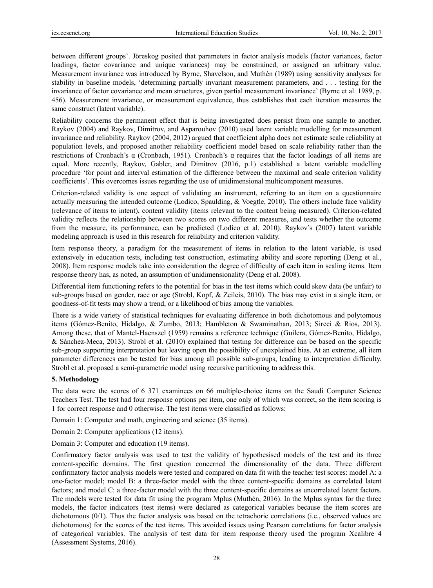between different groups'. Jöreskog posited that parameters in factor analysis models (factor variances, factor loadings, factor covariance and unique variances) may be constrained, or assigned an arbitrary value. Measurement invariance was introduced by Byrne, Shavelson, and Muthén (1989) using sensitivity analyses for stability in baseline models, 'determining partially invariant measurement parameters, and . . . testing for the invariance of factor covariance and mean structures, given partial measurement invariance' (Byrne et al. 1989, p. 456). Measurement invariance, or measurement equivalence, thus establishes that each iteration measures the same construct (latent variable).

Reliability concerns the permanent effect that is being investigated does persist from one sample to another. Raykov (2004) and Raykov, Dimitrov, and Asparouhov (2010) used latent variable modelling for measurement invariance and reliability. Raykov (2004, 2012) argued that coefficient alpha does not estimate scale reliability at population levels, and proposed another reliability coefficient model based on scale reliability rather than the restrictions of Cronbach's α (Cronbach, 1951). Cronbach's α requires that the factor loadings of all items are equal. More recently, Raykov, Gabler, and Dimitrov (2016, p.1) established a latent variable modelling procedure 'for point and interval estimation of the difference between the maximal and scale criterion validity coefficients'. This overcomes issues regarding the use of unidimensional multicomponent measures.

Criterion-related validity is one aspect of validating an instrument, referring to an item on a questionnaire actually measuring the intended outcome (Lodico, Spaulding, & Voegtle, 2010). The others include face validity (relevance of items to intent), content validity (items relevant to the content being measured). Criterion-related validity reflects the relationship between two scores on two different measures, and tests whether the outcome from the measure, its performance, can be predicted (Lodico et al. 2010). Raykov's (2007) latent variable modeling approach is used in this research for reliability and criterion validity.

Item response theory, a paradigm for the measurement of items in relation to the latent variable, is used extensively in education tests, including test construction, estimating ability and score reporting (Deng et al., 2008). Item response models take into consideration the degree of difficulty of each item in scaling items. Item response theory has, as noted, an assumption of unidimensionality (Deng et al. 2008).

Differential item functioning refers to the potential for bias in the test items which could skew data (be unfair) to sub-groups based on gender, race or age (Strobl, Kopf, & Zeileis, 2010). The bias may exist in a single item, or goodness-of-fit tests may show a trend, or a likelihood of bias among the variables.

There is a wide variety of statistical techniques for evaluating difference in both dichotomous and polytomous items (Gómez-Benito, Hidalgo, & Zumbo, 2013; Hambleton & Swaminathan, 2013; Sireci & Rios, 2013). Among these, that of Mantel-Haenszel (1959) remains a reference technique (Guilera, Gómez-Benito, Hidalgo, & Sánchez-Meca, 2013). Strobl et al. (2010) explained that testing for difference can be based on the specific sub-group supporting interpretation but leaving open the possibility of unexplained bias. At an extreme, all item parameter differences can be tested for bias among all possible sub-groups, leading to interpretation difficulty. Strobl et al. proposed a semi-parametric model using recursive partitioning to address this.

#### **5. Methodology**

The data were the scores of 6 371 examinees on 66 multiple-choice items on the Saudi Computer Science Teachers Test. The test had four response options per item, one only of which was correct, so the item scoring is 1 for correct response and 0 otherwise. The test items were classified as follows:

Domain 1: Computer and math, engineering and science (35 items).

Domain 2: Computer applications (12 items).

Domain 3: Computer and education (19 items).

Confirmatory factor analysis was used to test the validity of hypothesised models of the test and its three content-specific domains. The first question concerned the dimensionality of the data. Three different confirmatory factor analysis models were tested and compared on data fit with the teacher test scores: model A: a one-factor model; model B: a three-factor model with the three content-specific domains as correlated latent factors; and model C: a three-factor model with the three content-specific domains as uncorrelated latent factors. The models were tested for data fit using the program Mplus (Muthén, 2016). In the Mplus syntax for the three models, the factor indicators (test items) were declared as categorical variables because the item scores are dichotomous (0/1). Thus the factor analysis was based on the tetrachoric correlations (i.e., observed values are dichotomous) for the scores of the test items. This avoided issues using Pearson correlations for factor analysis of categorical variables. The analysis of test data for item response theory used the program Xcalibre 4 (Assessment Systems, 2016).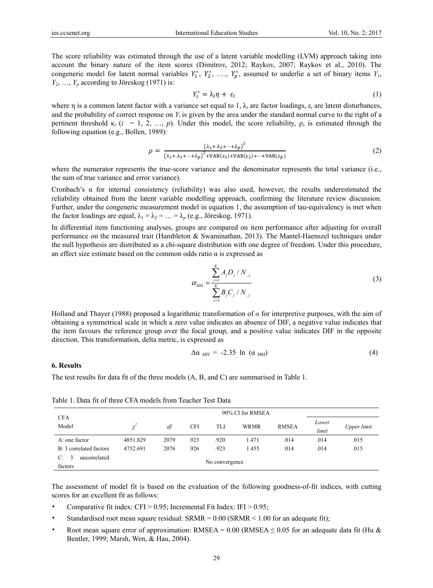The score reliability was estimated through the use of a latent variable modelling (LVM) approach taking into account the binary nature of the item scores (Dimitrov, 2012; Raykov, 2007; Raykov et al., 2010). The congeneric model for latent normal variables  $Y_1^*$ ,  $Y_2^*$ , ...,  $Y_p^*$ , assumed to underlie a set of binary items  $Y_1$ ,  $Y_2, \ldots, Y_p$  according to Jöreskog (1971) is:

$$
Y_i^* = \lambda_i \eta + \varepsilon_i \tag{1}
$$

where η is a common latent factor with a variance set equal to 1, λ*i* are factor loadings, ε*i* are latent disturbances, and the probability of correct response on  $Y_i$  is given by the area under the standard normal curve to the right of a pertinent threshold  $\kappa_i$  (*i* = 1, 2, …, *p*). Under this model, the score reliability, *ρ*, is estimated through the following equation (e.g., Bollen, 1989):

$$
\rho = \frac{\left(\lambda_1 + \lambda_2 + \dots + \lambda_p\right)^2}{\left(\lambda_1 + \lambda_2 + \dots + \lambda_p\right)^2 + \text{VAR}(\varepsilon_1) + \text{VAR}(\varepsilon_2) + \dots + \text{VAR}(\varepsilon_p)}\tag{2}
$$

where the numerator represents the true-score variance and the denominator represents the total variance (i.e., the sum of true variance and error variance).

Cronbach's  $\alpha$  for internal consistency (reliability) was also used, however, the results underestimated the reliability obtained from the latent variable modelling approach, confirming the literature review discussion. Further, under the congeneric measurement model in equation 1, the assumption of tau-equivalency is met when the factor loadings are equal,  $\lambda_1 = \lambda_2 = ... = \lambda_p$  (e.g., Jöreskog, 1971).

In differential item functioning analyses, groups are compared on item performance after adjusting for overall performance on the measured trait (Hambleton & Swaminathan, 2013). The Mantel-Haenszel techniques under the null hypothesis are distributed as a chi-square distribution with one degree of freedom. Under this procedure, an effect size estimate based on the common odds ratio  $\alpha$  is expressed as

$$
\alpha_{MH} = \frac{\sum_{j=1}^{K} A_j D_j / N_{.j}}{\sum_{j=1}^{K} B_j C_j / N_{.j}}
$$
(3)

Holland and Thayer (1988) proposed a logarithmic transformation of *α* for interpretive purposes, with the aim of obtaining a symmetrical scale in which a zero value indicates an absence of DIF, a negative value indicates that the item favours the reference group over the focal group, and a positive value indicates DIF in the opposite direction. This transformation, delta metric, is expressed as

$$
\Delta \alpha_{MH} = -2.35 \ln (\alpha_{MH}) \tag{4}
$$

#### **6. Results**

The test results for data fit of the three models (A, B, and C) are summarised in Table 1.

|                                              | 90% CI for RMSEA |      |            |                |             |              |                |             |  |  |
|----------------------------------------------|------------------|------|------------|----------------|-------------|--------------|----------------|-------------|--|--|
| <b>CFA</b><br>Model                          | χ                | df   | <b>CFI</b> | TLI            | <b>WRMR</b> | <b>RMSEA</b> | Lower<br>limit | Upper limit |  |  |
| A: one factor                                | 4851.829         | 2079 | .923       | .920           | 1.471       | .014         | .014           | .015        |  |  |
| B: 3 correlated factors                      | 4752.691         | 2076 | .926       | .923           | 1.455       | .014         | .014           | .015        |  |  |
| uncorrelated<br>$C^{\cdot}$<br>-3<br>factors |                  |      |            | No convergence |             |              |                |             |  |  |

Table 1. Data fit of three CFA models from Teacher Test Data

The assessment of model fit is based on the evaluation of the following goodness-of-fit indices, with cutting scores for an excellent fit as follows:

- Comparative fit index:  $CFI > 0.95$ ; Incremental Fit Index: IFI  $> 0.95$ ;
- Standardised root mean square residual:  $SRMR = 0.00$  ( $SRMR < 1.00$  for an adequate fit);
- Root mean square error of approximation: RMSEA =  $0.00$  (RMSEA  $\leq 0.05$  for an adequate data fit (Hu & Bentler, 1999; Marsh, Wen, & Hau, 2004).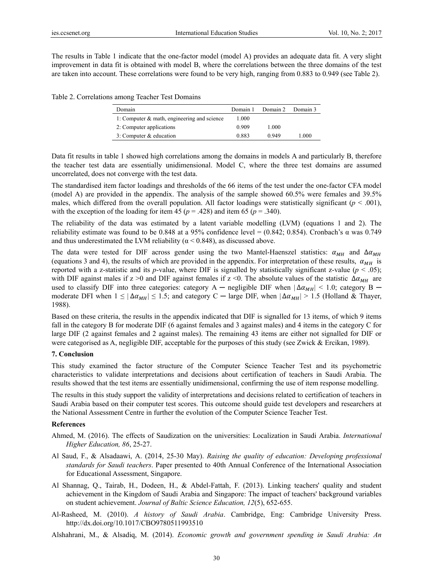The results in Table 1 indicate that the one-factor model (model A) provides an adequate data fit. A very slight improvement in data fit is obtained with model B, where the correlations between the three domains of the test are taken into account. These correlations were found to be very high, ranging from 0.883 to 0.949 (see Table 2).

Table 2. Correlations among Teacher Test Domains

| Domain                                         | Domain 1 | Domain 2 | Domain 3 |
|------------------------------------------------|----------|----------|----------|
| 1: Computer $\&$ math, engineering and science | 1.000    |          |          |
| 2: Computer applications                       | 0.909    | 1.000    |          |
| 3: Computer $&$ education                      | 0.883    | 0.949    | 1.000    |

Data fit results in table 1 showed high correlations among the domains in models A and particularly B, therefore the teacher test data are essentially unidimensional. Model C, where the three test domains are assumed uncorrelated, does not converge with the test data.

The standardised item factor loadings and thresholds of the 66 items of the test under the one-factor CFA model (model A) are provided in the appendix. The analysis of the sample showed 60.5% were females and 39.5% males, which differed from the overall population. All factor loadings were statistically significant  $(p < .001)$ , with the exception of the loading for item 45 ( $p = .428$ ) and item 65 ( $p = .340$ ).

The reliability of the data was estimated by a latent variable modelling (LVM) (equations 1 and 2). The reliability estimate was found to be 0.848 at a 95% confidence level = (0.842; 0.854). Cronbach's α was 0.749 and thus underestimated the LVM reliability ( $\alpha$  < 0.848), as discussed above.

The data were tested for DIF across gender using the two Mantel-Haenszel statistics:  $\alpha_{MH}$  and  $\Delta \alpha_{MH}$ (equations 3 and 4), the results of which are provided in the appendix. For interpretation of these results,  $\alpha_{MH}$  is reported with a z-statistic and its *p*-value, where DIF is signalled by statistically significant z-value ( $p < .05$ ); with DIF against males if  $z > 0$  and DIF against females if  $z < 0$ . The absolute values of the statistic  $\Delta \alpha_{MH}$  are used to classify DIF into three categories: category A — negligible DIF when  $|\Delta \alpha_{MH}|$  < 1.0; category B moderate DFI when  $1 \leq |\Delta \alpha_{MH}| \leq 1.5$ ; and category C — large DIF, when  $|\Delta \alpha_{MH}| > 1.5$  (Holland & Thayer, 1988).

Based on these criteria, the results in the appendix indicated that DIF is signalled for 13 items, of which 9 items fall in the category B for moderate DIF (6 against females and 3 against males) and 4 items in the category C for large DIF (2 against females and 2 against males). The remaining 43 items are either not signalled for DIF or were categorised as A, negligible DIF, acceptable for the purposes of this study (see Zwick & Ercikan, 1989).

#### **7. Conclusion**

This study examined the factor structure of the Computer Science Teacher Test and its psychometric characteristics to validate interpretations and decisions about certification of teachers in Saudi Arabia. The results showed that the test items are essentially unidimensional, confirming the use of item response modelling.

The results in this study support the validity of interpretations and decisions related to certification of teachers in Saudi Arabia based on their computer test scores. This outcome should guide test developers and researchers at the National Assessment Centre in further the evolution of the Computer Science Teacher Test.

#### **References**

- Ahmed, M. (2016). The effects of Saudization on the universities: Localization in Saudi Arabia. *International Higher Education, 86*, 25-27.
- Al Saud, F., & Alsadaawi, A. (2014, 25-30 May). *Raising the quality of education: Developing professional standards for Saudi teachers*. Paper presented to 40th Annual Conference of the International Association for Educational Assessment, Singapore.
- Al Shannag, Q., Tairab, H., Dodeen, H., & Abdel-Fattah, F. (2013). Linking teachers' quality and student achievement in the Kingdom of Saudi Arabia and Singapore: The impact of teachers' background variables on student achievement. *Journal of Baltic Science Education, 12*(5), 652-655.
- Al-Rasheed, M. (2010). *A history of Saudi Arabia*. Cambridge, Eng: Cambridge University Press. http://dx.doi.org/10.1017/CBO9780511993510
- Alshahrani, M., & Alsadiq, M. (2014). *Economic growth and government spending in Saudi Arabia: An*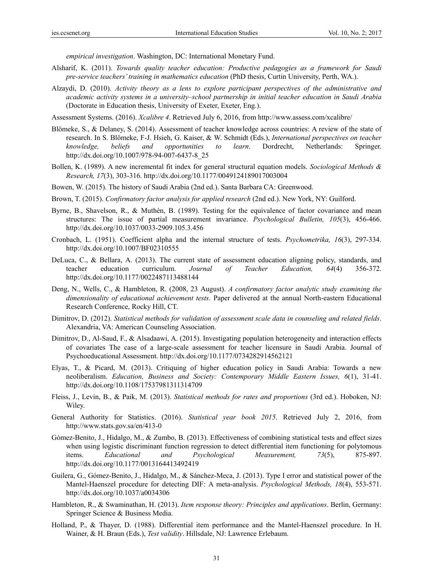*empirical investigation*. Washington, DC: International Monetary Fund.

- Alsharif, K. (2011). *Towards quality teacher education: Productive pedagogies as a framework for Saudi pre-service teachers' training in mathematics education* (PhD thesis, Curtin University, Perth, WA.).
- Alzaydi, D. (2010). *Activity theory as a lens to explore participant perspectives of the administrative and academic activity systems in a university–school partnership in initial teacher education in Saudi Arabia* (Doctorate in Education thesis, University of Exeter, Exeter, Eng.).

Assessment Systems. (2016). *Xcalibre 4*. Retrieved July 6, 2016, from http://www.assess.com/xcalibre/

- Blömeke, S., & Delaney, S. (2014). Assessment of teacher knowledge across countries: A review of the state of research. In S. Blömeke, F-J. Hsieh, G. Kaiser, & W. Schmidt (Eds.), *International perspectives on teacher knowledge, beliefs and opportunities to learn*. Dordrecht, Netherlands: Springer. http://dx.doi.org/10.1007/978-94-007-6437-8\_25
- Bollen, K. (1989). A new incremental fit index for general structural equation models. *Sociological Methods & Research, 17*(3), 303-316. http://dx.doi.org/10.1177/0049124189017003004
- Bowen, W. (2015). The history of Saudi Arabia (2nd ed.). Santa Barbara CA: Greenwood.
- Brown, T. (2015). *Confirmatory factor analysis for applied research* (2nd ed.). New York, NY: Guilford.
- Byrne, B., Shavelson, R., & Muthén, B. (1989). Testing for the equivalence of factor covariance and mean structures: The issue of partial measurement invariance. *Psychological Bulletin, 105*(3), 456-466. http://dx.doi.org/10.1037/0033-2909.105.3.456
- Cronbach, L. (1951). Coefficient alpha and the internal structure of tests. *Psychometrika, 16*(3), 297-334. http://dx.doi.org/10.1007/BF02310555
- DeLuca, C., & Bellara, A. (2013). The current state of assessment education aligning policy, standards, and teacher education curriculum. *Journal of Teacher Education, 64*(4) 356-372. http://dx.doi.org/10.1177/0022487113488144
- Deng, N., Wells, C., & Hambleton, R. (2008, 23 August). *A confirmatory factor analytic study examining the dimensionality of educational achievement tests*. Paper delivered at the annual North-eastern Educational Research Conference, Rocky Hill, CT.
- Dimitrov, D. (2012). *Statistical methods for validation of assessment scale data in counseling and related fields*. Alexandria, VA: American Counseling Association.
- Dimitrov, D., Al-Saud, F., & Alsadaawi, A. (2015). Investigating population heterogeneity and interaction effects of covariates The case of a large-scale assessment for teacher licensure in Saudi Arabia. Journal of Psychoeducational Assessment. http://dx.doi.org/10.1177/0734282914562121
- Elyas, T., & Picard, M. (2013). Critiquing of higher education policy in Saudi Arabia: Towards a new neoliberalism. *Education, Business and Society: Contemporary Middle Eastern Issues, 6*(1), 31-41. http://dx.doi.org/10.1108/17537981311314709
- Fleiss, J., Levin, B., & Paik, M. (2013). *Statistical methods for rates and proportions* (3rd ed.). Hoboken, NJ: Wiley.
- General Authority for Statistics. (2016). *Statistical year book 2015*. Retrieved July 2, 2016, from http://www.stats.gov.sa/en/413-0
- Gómez-Benito, J., Hidalgo, M., & Zumbo, B. (2013). Effectiveness of combining statistical tests and effect sizes when using logistic discriminant function regression to detect differential item functioning for polytomous items. *Educational and Psychological Measurement, 73*(5), 875-897. http://dx.doi.org/10.1177/0013164413492419
- Guilera, G., Gómez-Benito, J., Hidalgo, M., & Sánchez-Meca, J. (2013). Type I error and statistical power of the Mantel-Haenszel procedure for detecting DIF: A meta-analysis. *Psychological Methods, 18*(4), 553-571. http://dx.doi.org/10.1037/a0034306
- Hambleton, R., & Swaminathan, H. (2013). *Item response theory: Principles and applications*. Berlin, Germany: Springer Science & Business Media.
- Holland, P., & Thayer, D. (1988). Differential item performance and the Mantel-Haenszel procedure. In H. Wainer, & H. Braun (Eds.), *Test validity*. Hillsdale, NJ: Lawrence Erlebaum.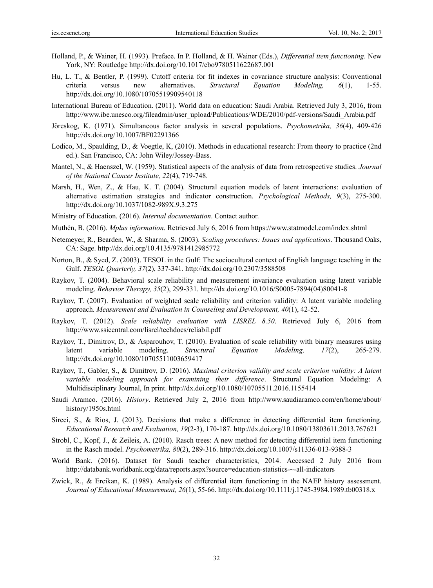- Holland, P., & Wainer, H. (1993). Preface. In P. Holland, & H. Wainer (Eds.), *Differential item functioning*. New York, NY: Routledge http://dx.doi.org/10.1017/cbo9780511622687.001
- Hu, L. T., & Bentler, P. (1999). Cutoff criteria for fit indexes in covariance structure analysis: Conventional criteria versus new alternatives. *Structural Equation Modeling, 6*(1), 1-55. http://dx.doi.org/10.1080/10705519909540118
- International Bureau of Education. (2011). World data on education: Saudi Arabia. Retrieved July 3, 2016, from http://www.ibe.unesco.org/fileadmin/user\_upload/Publications/WDE/2010/pdf-versions/Saudi\_Arabia.pdf
- Jöreskog, K. (1971). Simultaneous factor analysis in several populations. *Psychometrika, 36*(4), 409-426 http://dx.doi.org/10.1007/BF02291366
- Lodico, M., Spaulding, D., & Voegtle, K, (2010). Methods in educational research: From theory to practice (2nd ed.). San Francisco, CA: John Wiley/Jossey-Bass.
- Mantel, N., & Haenszel, W. (1959). Statistical aspects of the analysis of data from retrospective studies. *Journal of the National Cancer Institute, 22*(4), 719-748.
- Marsh, H., Wen, Z., & Hau, K. T. (2004). Structural equation models of latent interactions: evaluation of alternative estimation strategies and indicator construction. *Psychological Methods, 9*(3), 275-300. http://dx.doi.org/10.1037/1082-989X.9.3.275
- Ministry of Education. (2016). *Internal documentation*. Contact author.
- Muthén, B. (2016). *Mplus information*. Retrieved July 6, 2016 from https://www.statmodel.com/index.shtml
- Netemeyer, R., Bearden, W., & Sharma, S. (2003). *Scaling procedures: Issues and applications*. Thousand Oaks, CA: Sage. http://dx.doi.org/10.4135/9781412985772
- Norton, B., & Syed, Z. (2003). TESOL in the Gulf: The sociocultural context of English language teaching in the Gulf. *TESOL Quarterly, 37*(2), 337-341. http://dx.doi.org/10.2307/3588508
- Raykov, T. (2004). Behavioral scale reliability and measurement invariance evaluation using latent variable modeling. *Behavior Therapy, 35*(2), 299-331. http://dx.doi.org/10.1016/S0005-7894(04)80041-8
- Raykov, T. (2007). Evaluation of weighted scale reliability and criterion validity: A latent variable modeling approach. *Measurement and Evaluation in Counseling and Development, 40*(1), 42-52.
- Raykov, T. (2012). *Scale reliability evaluation with LISREL 8.50*. Retrieved July 6, 2016 from http://www.ssicentral.com/lisrel/techdocs/reliabil.pdf
- Raykov, T., Dimitrov, D., & Asparouhov, T. (2010). Evaluation of scale reliability with binary measures using latent variable modeling. *Structural Equation Modeling, 17*(2), 265-279. http://dx.doi.org/10.1080/10705511003659417
- Raykov, T., Gabler, S., & Dimitrov, D. (2016). *Maximal criterion validity and scale criterion validity: A latent variable modeling approach for examining their difference*. Structural Equation Modeling: A Multidisciplinary Journal, In print. http://dx.doi.org/10.1080/10705511.2016.1155414
- Saudi Aramco. (2016). *History*. Retrieved July 2, 2016 from http://www.saudiaramco.com/en/home/about/ history/1950s.html
- Sireci, S., & Rios, J. (2013). Decisions that make a difference in detecting differential item functioning. *Educational Research and Evaluation, 19*(2-3), 170-187. http://dx.doi.org/10.1080/13803611.2013.767621
- Strobl, C., Kopf, J., & Zeileis, A. (2010). Rasch trees: A new method for detecting differential item functioning in the Rasch model. *Psychometrika, 80*(2), 289-316. http://dx.doi.org/10.1007/s11336-013-9388-3
- World Bank. (2016). Dataset for Saudi teacher characteristics, 2014. Accessed 2 July 2016 from http://databank.worldbank.org/data/reports.aspx?source=education-statistics-~-all-indicators
- Zwick, R., & Ercikan, K. (1989). Analysis of differential item functioning in the NAEP history assessment. *Journal of Educational Measurement, 26*(1), 55-66. http://dx.doi.org/10.1111/j.1745-3984.1989.tb00318.x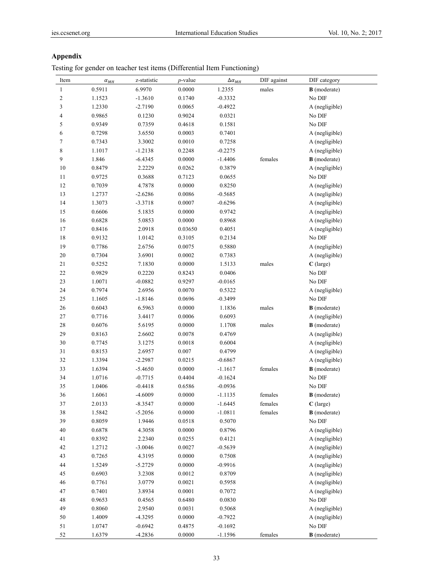# **Appendix**

Testing for gender on teacher test items (Differential Item Functioning)

| Item         | $\alpha_{MH}$ | z-statistic | $p$ -value | $\Delta \alpha_{ML}$ | DIF against | DIF category        |
|--------------|---------------|-------------|------------|----------------------|-------------|---------------------|
| $\mathbf{1}$ | 0.5911        | 6.9970      | 0.0000     | 1.2355               | males       | <b>B</b> (moderate) |
| $\mathbf{2}$ | 1.1523        | $-1.3610$   | 0.1740     | $-0.3332$            |             | No DIF              |
| 3            | 1.2330        | $-2.7190$   | 0.0065     | $-0.4922$            |             | A (negligible)      |
| 4            | 0.9865        | 0.1230      | 0.9024     | 0.0321               |             | No DIF              |
| 5            | 0.9349        | 0.7359      | 0.4618     | 0.1581               |             | No DIF              |
| 6            | 0.7298        | 3.6550      | 0.0003     | 0.7401               |             | A (negligible)      |
| 7            | 0.7343        | 3.3002      | 0.0010     | 0.7258               |             | A (negligible)      |
| 8            | 1.1017        | $-1.2138$   | 0.2248     | $-0.2275$            |             | A (negligible)      |
| 9            | 1.846         | $-6.4345$   | 0.0000     | $-1.4406$            | females     | <b>B</b> (moderate) |
| $10\,$       | 0.8479        | 2.2229      | 0.0262     | 0.3879               |             | A (negligible)      |
| 11           | 0.9725        | 0.3688      | 0.7123     | 0.0655               |             | No DIF              |
| 12           | 0.7039        | 4.7878      | 0.0000     | 0.8250               |             | A (negligible)      |
| 13           | 1.2737        | $-2.6286$   | 0.0086     | $-0.5685$            |             | A (negligible)      |
| $14\,$       | 1.3073        | $-3.3718$   | 0.0007     | $-0.6296$            |             | A (negligible)      |
| $15\,$       | 0.6606        | 5.1835      | 0.0000     | 0.9742               |             | A (negligible)      |
| $16\,$       | 0.6828        | 5.0853      | 0.0000     | 0.8968               |             | A (negligible)      |
| 17           | 0.8416        | 2.0918      | 0.03650    | 0.4051               |             | A (negligible)      |
| $18\,$       | 0.9132        | 1.0142      | 0.3105     | 0.2134               |             | No DIF              |
| 19           | 0.7786        | 2.6756      | 0.0075     | 0.5880               |             | A (negligible)      |
| $20\,$       | 0.7304        | 3.6901      | 0.0002     | 0.7383               |             | A (negligible)      |
| 21           | 0.5252        | 7.1830      | 0.0000     | 1.5133               | males       | $C$ (large)         |
| $22\,$       | 0.9829        | 0.2220      | 0.8243     | 0.0406               |             | No DIF              |
| 23           | 1.0071        | $-0.0882$   | 0.9297     | $-0.0165$            |             | No DIF              |
| 24           | 0.7974        | 2.6956      | 0.0070     | 0.5322               |             | A (negligible)      |
| 25           | 1.1605        | $-1.8146$   | 0.0696     | $-0.3499$            |             | No DIF              |
| 26           | 0.6043        | 6.5963      | 0.0000     | 1.1836               | males       | <b>B</b> (moderate) |
| $27\,$       | 0.7716        | 3.4417      | 0.0006     | 0.6093               |             | A (negligible)      |
| $28\,$       | 0.6076        | 5.6195      | 0.0000     | 1.1708               | males       | <b>B</b> (moderate) |
| 29           | 0.8163        | 2.6602      | 0.0078     | 0.4769               |             | A (negligible)      |
| 30           | 0.7745        | 3.1275      | 0.0018     | 0.6004               |             | A (negligible)      |
| 31           | 0.8153        | 2.6957      | 0.007      | 0.4799               |             | A (negligible)      |
| 32           | 1.3394        | $-2.2987$   | 0.0215     | $-0.6867$            |             | A (negligible)      |
| 33           | 1.6394        | $-5.4650$   | 0.0000     | $-1.1617$            | females     | <b>B</b> (moderate) |
| 34           | 1.0716        | $-0.7715$   | 0.4404     | $-0.1624$            |             | No DIF              |
| 35           | 1.0406        | $-0.4418$   | 0.6586     | $-0.0936$            |             | No DIF              |
| 36           | 1.6061        | $-4.6009$   | 0.0000     | $-1.1135$            | females     | <b>B</b> (moderate) |
| 37           | 2.0133        | $-8.3547$   | 0.0000     | $-1.6445$            | females     | C (large)           |
| 38           | 1.5842        | $-5.2056$   | 0.0000     | $-1.0811$            | females     | <b>B</b> (moderate) |
| 39           | 0.8059        | 1.9446      | 0.0518     | 0.5070               |             | $\rm No$ $\rm DIF$  |
| $40\,$       | 0.6878        | 4.3058      | 0.0000     | 0.8796               |             | A (negligible)      |
| 41           | 0.8392        | 2.2340      | 0.0255     | 0.4121               |             | A (negligible)      |
| 42           | 1.2712        | $-3.0046$   | 0.0027     | $-0.5639$            |             | A (negligible)      |
| 43           | 0.7265        | 4.3195      | 0.0000     | 0.7508               |             | A (negligible)      |
| 44           | 1.5249        | $-5.2729$   | 0.0000     | $-0.9916$            |             | A (negligible)      |
| 45           | 0.6903        | 3.2308      | 0.0012     | 0.8709               |             | A (negligible)      |
| 46           | 0.7761        | 3.0779      | 0.0021     | 0.5958               |             | A (negligible)      |
| 47           | 0.7401        | 3.8934      | 0.0001     | 0.7072               |             | A (negligible)      |
| $\sqrt{48}$  | 0.9653        | 0.4565      | 0.6480     | 0.0830               |             | No DIF              |
| 49           | 0.8060        | 2.9540      | 0.0031     | 0.5068               |             | A (negligible)      |
| $50\,$       | 1.4009        | $-4.3295$   | 0.0000     | $-0.7922$            |             | A (negligible)      |
| 51           | 1.0747        | $-0.6942$   | 0.4875     | $-0.1692$            |             | $\rm No$ $\rm DIF$  |
|              |               |             |            |                      |             |                     |
| 52           | 1.6379        | $-4.2836$   | 0.0000     | $-1.1596$            | females     | <b>B</b> (moderate) |